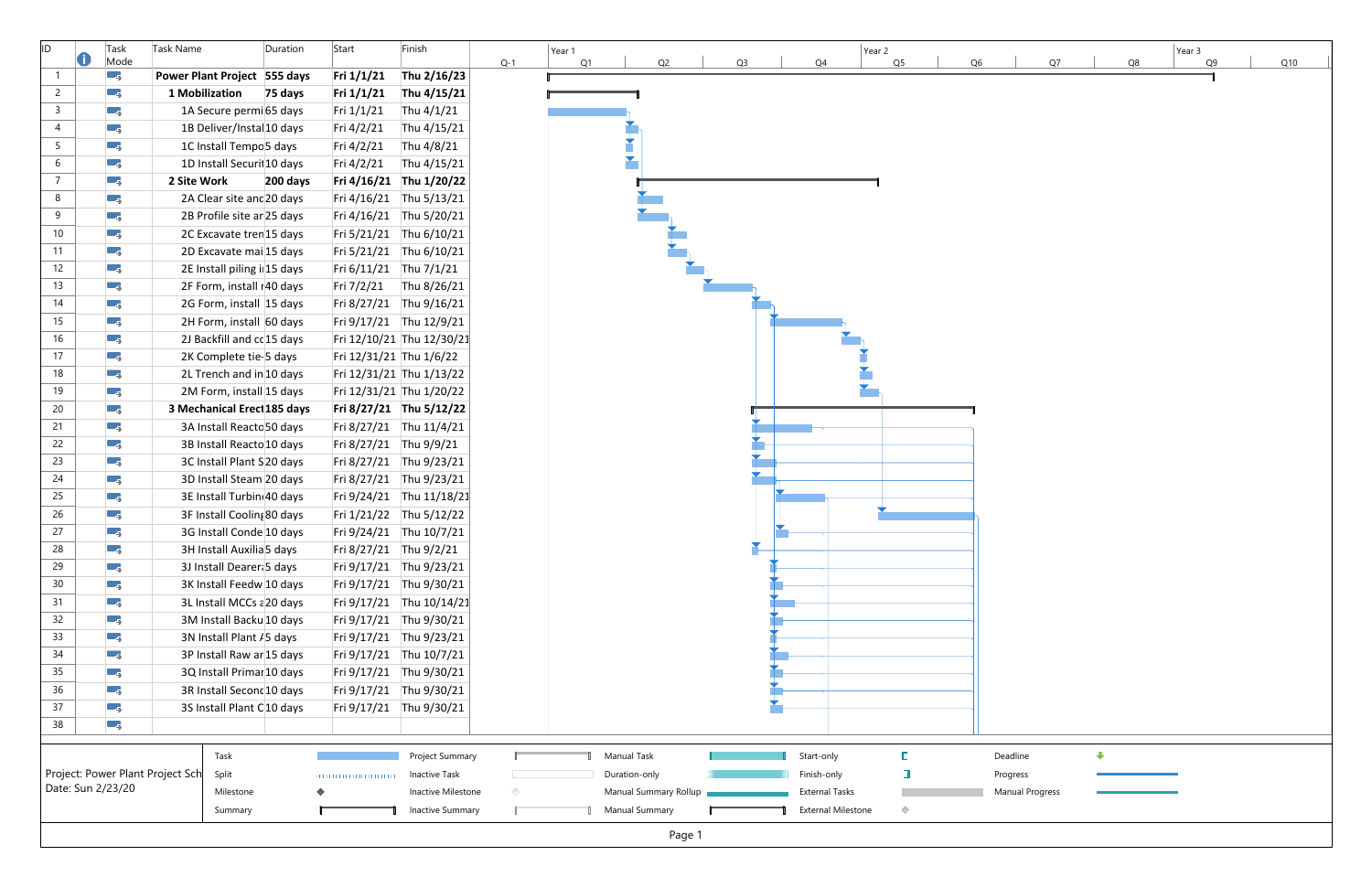| ID.             | O | Task<br>Mode                     | Task Name                          | Duration | Start                   | Finish                    |       | Year 1<br>Q1 |                | Q2                    | Q <sub>3</sub> |                       |                           | Year 2<br>Q5 |    |                        |    | Q8 | Year 3 |
|-----------------|---|----------------------------------|------------------------------------|----------|-------------------------|---------------------------|-------|--------------|----------------|-----------------------|----------------|-----------------------|---------------------------|--------------|----|------------------------|----|----|--------|
| $\overline{1}$  |   | - 5                              | Power Plant Project 555 days       |          | Fri $1/1/21$            | Thu 2/16/23               | $Q-1$ |              |                |                       |                | Q4                    |                           |              | Q6 |                        | Q7 |    |        |
| $\overline{2}$  |   | Ξ,                               | 1 Mobilization                     | 75 days  | Fri 1/1/21              | Thu 4/15/21               |       |              |                |                       |                |                       |                           |              |    |                        |    |    |        |
| $\overline{3}$  |   | ۳ş                               | 1A Secure permi65 days             |          | Fri 1/1/21              | Thu 4/1/21                |       |              |                |                       |                |                       |                           |              |    |                        |    |    |        |
| 4               |   | С,                               | 1B Deliver/Instal 10 days          |          | Fri 4/2/21              | Thu 4/15/21               |       |              |                |                       |                |                       |                           |              |    |                        |    |    |        |
| $5\overline{)}$ |   | ΠĘ,                              | 1C Install Tempo <sup>5</sup> days |          | Fri 4/2/21              | Thu 4/8/21                |       |              |                |                       |                |                       |                           |              |    |                        |    |    |        |
| 6               |   | С,                               | 1D Install Securit 10 days         |          | Fri 4/2/21              | Thu 4/15/21               |       |              |                |                       |                |                       |                           |              |    |                        |    |    |        |
| $\overline{7}$  |   | С,                               | 2 Site Work                        | 200 days | Fri 4/16/21             | Thu 1/20/22               |       |              |                |                       |                |                       |                           |              |    |                        |    |    |        |
| 8               |   | τ.,                              | 2A Clear site and 20 days          |          | Fri 4/16/21             | Thu 5/13/21               |       |              |                |                       |                |                       |                           |              |    |                        |    |    |        |
| 9               |   | т,                               | 2B Profile site ar 25 days         |          | Fri 4/16/21             | Thu 5/20/21               |       |              |                |                       |                |                       |                           |              |    |                        |    |    |        |
| 10              |   | - 5                              | 2C Excavate tren 15 days           |          |                         | Fri 5/21/21 Thu 6/10/21   |       |              |                |                       |                |                       |                           |              |    |                        |    |    |        |
| 11              |   | С,                               | 2D Excavate mai 15 days            |          | Fri 5/21/21             | Thu 6/10/21               |       |              |                |                       |                |                       |                           |              |    |                        |    |    |        |
| 12              |   | С,                               | 2E Install piling i 15 days        |          | Fri 6/11/21             | Thu 7/1/21                |       |              |                |                       |                |                       |                           |              |    |                        |    |    |        |
| 13              |   | Шş                               | 2F Form, install r40 days          |          | Fri 7/2/21              | Thu 8/26/21               |       |              |                |                       |                |                       |                           |              |    |                        |    |    |        |
| 14              |   | т,                               | 2G Form, install 15 days           |          | Fri 8/27/21             | Thu 9/16/21               |       |              |                |                       |                |                       |                           |              |    |                        |    |    |        |
| 15              |   | Ε,                               | 2H Form, install 60 days           |          |                         | Fri 9/17/21 Thu 12/9/21   |       |              |                |                       |                |                       |                           |              |    |                        |    |    |        |
| 16              |   | С,                               | 2J Backfill and cc 15 days         |          |                         | Fri 12/10/21 Thu 12/30/21 |       |              |                |                       |                |                       |                           |              |    |                        |    |    |        |
| 17              |   | С,                               | 2K Complete tie-5 days             |          | Fri 12/31/21 Thu 1/6/22 |                           |       |              |                |                       |                |                       |                           |              |    |                        |    |    |        |
| 18              |   | Ξ,                               | 2L Trench and in 10 days           |          |                         | Fri 12/31/21 Thu 1/13/22  |       |              |                |                       |                |                       |                           |              |    |                        |    |    |        |
| 19              |   | С,                               | 2M Form, install 15 days           |          |                         | Fri 12/31/21 Thu 1/20/22  |       |              |                |                       |                |                       |                           |              |    |                        |    |    |        |
| 20              |   | С,                               | 3 Mechanical Erecl 185 days        |          |                         | Fri 8/27/21 Thu 5/12/22   |       |              |                |                       |                |                       |                           |              |    |                        |    |    |        |
| 21              |   | С,                               | 3A Install Reacto 50 days          |          |                         | Fri 8/27/21 Thu 11/4/21   |       |              |                |                       |                |                       |                           |              |    |                        |    |    |        |
| 22              |   | Ξ,                               | 3B Install Reacto 10 days          |          | Fri 8/27/21 Thu 9/9/21  |                           |       |              |                |                       |                |                       |                           |              |    |                        |    |    |        |
| 23              |   | ΠĘ,                              | 3C Install Plant S20 days          |          |                         | Fri 8/27/21 Thu 9/23/21   |       |              |                |                       |                |                       |                           |              |    |                        |    |    |        |
| 24              |   | Ε,                               | 3D Install Steam 20 days           |          |                         | Fri 8/27/21 Thu 9/23/21   |       |              |                |                       |                |                       |                           |              |    |                        |    |    |        |
| 25              |   | С,                               | 3E Install Turbin 40 days          |          | Fri 9/24/21             | Thu 11/18/21              |       |              |                |                       |                |                       |                           |              |    |                        |    |    |        |
| 26              |   | Œ.                               | 3F Install Cooling 80 days         |          | Fri 1/21/22             | Thu 5/12/22               |       |              |                |                       |                |                       |                           |              |    |                        |    |    |        |
| 27              |   | С,                               | 3G Install Conde 10 days           |          |                         | Fri 9/24/21 Thu 10/7/21   |       |              |                |                       |                |                       |                           |              |    |                        |    |    |        |
| 28              |   | - 5                              | 3H Install Auxilia 5 days          |          | Fri 8/27/21 Thu 9/2/21  |                           |       |              |                |                       |                |                       |                           |              |    |                        |    |    |        |
| 29              |   | - 5                              | 3J Install Dearer 5 days           |          |                         | Fri 9/17/21 Thu 9/23/21   |       |              |                |                       |                |                       |                           |              |    |                        |    |    |        |
| 30              |   | С,                               | 3K Install Feedw 10 days           |          | Fri 9/17/21             | Thu 9/30/21               |       |              |                |                       |                |                       |                           |              |    |                        |    |    |        |
| 31              |   | С,                               | 3L Install MCCs a 20 days          |          | Fri 9/17/21             | Thu 10/14/21              |       |              |                |                       |                |                       |                           |              |    |                        |    |    |        |
| 32              |   | - 5                              | 3M Install Backu 10 days           |          | Fri 9/17/21             | Thu 9/30/21               |       |              |                |                       |                |                       |                           |              |    |                        |    |    |        |
| 33              |   | - 5                              | 3N Install Plant / 5 days          |          |                         | Fri 9/17/21 Thu 9/23/21   |       |              |                |                       |                |                       |                           |              |    |                        |    |    |        |
| 34              |   | - 5                              | 3P Install Raw ar 15 days          |          | Fri 9/17/21 Thu 10/7/21 |                           |       |              |                |                       |                |                       |                           |              |    |                        |    |    |        |
| 35              |   | Е,                               | 3Q Install Primar 10 days          |          | Fri 9/17/21             | Thu 9/30/21               |       |              |                |                       |                |                       |                           |              |    |                        |    |    |        |
| 36              |   | τ.,                              | 3R Install Second 10 days          |          |                         | Fri 9/17/21 Thu 9/30/21   |       |              |                |                       |                |                       |                           |              |    |                        |    |    |        |
| 37              |   | Б.,                              | 3S Install Plant C10 days          |          |                         | Fri 9/17/21 Thu 9/30/21   |       |              |                |                       |                |                       |                           |              |    |                        |    |    |        |
| 38              |   | ٣,                               |                                    |          |                         |                           |       |              |                |                       |                |                       |                           |              |    |                        |    |    |        |
|                 |   |                                  |                                    |          |                         |                           |       |              |                |                       |                |                       |                           |              |    |                        |    |    |        |
|                 |   |                                  | Task                               |          |                         | Project Summary           |       |              | Manual Task    |                       |                | Start-only            |                           | E            |    | Deadline               |    |    |        |
|                 |   | Project: Power Plant Project Sch | Split                              |          |                         | <b>Inactive Task</b>      |       |              | Duration-only  |                       |                | Finish-only           |                           |              |    | Progress               |    |    |        |
|                 |   | Date: Sun 2/23/20                | Milestone                          |          |                         | Inactive Milestone        |       |              |                | Manual Summary Rollup |                | <b>External Tasks</b> |                           |              |    | <b>Manual Progress</b> |    |    |        |
|                 |   |                                  | Summary                            |          |                         | Inactive Summary          |       |              | Manual Summary |                       |                |                       | <b>External Milestone</b> | $\Diamond$   |    |                        |    |    |        |
|                 |   |                                  |                                    |          |                         |                           |       |              |                | Page 1                |                |                       |                           |              |    |                        |    |    |        |
|                 |   |                                  |                                    |          |                         |                           |       |              |                |                       |                |                       |                           |              |    |                        |    |    |        |